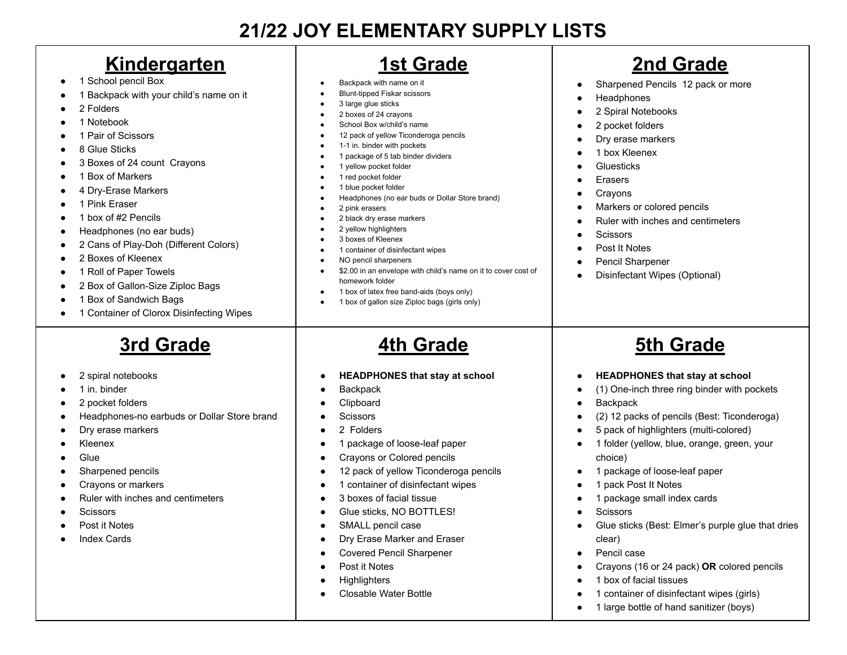## **21/22 JOY ELEMENTARY SUPPLY LISTS**

#### **Kindergarten**

- 1 School pencil Box
- 1 Backpack with your child's name on it
- 2 Folders
- 1 Notebook
- 1 Pair of Scissors
- 8 Glue Sticks
- 3 Boxes of 24 count Crayons
- 1 Box of Markers
- 4 Dry-Erase Markers
- 1 Pink Eraser
- 1 box of #2 Pencils
- Headphones (no ear buds)
- 2 Cans of Play-Doh (Different Colors)
- 2 Boxes of Kleenex
- 1 Roll of Paper Towels
- 2 Box of Gallon-Size Ziploc Bags
- 1 Box of Sandwich Bags
- 1 Container of Clorox Disinfecting Wipes

# **3rd Grade**

- 2 spiral notebooks
- 1 in. binder
- 2 pocket folders
- Headphones-no earbuds or Dollar Store brand
- Dry erase markers
- Kleenex
- Glue
- Sharpened pencils
- Crayons or markers
- Ruler with inches and centimeters
- **Scissors**
- Post it Notes
- Index Cards

## **1st Grade**

- Backpack with name on it
- **Blunt-tipped Fiskar scissors**
- 3 large glue sticks
- 2 boxes of 24 crayons
- School Box w/child's name
- 12 pack of yellow Ticonderoga pencils
- 1-1 in. binder with pockets
- 1 package of 5 tab binder dividers
- 1 yellow pocket folder
- 1 red pocket folder
- 1 blue pocket folder Headphones (no ear buds or Dollar Store brand)
- 2 pink erasers
- 2 black dry erase markers
- 2 yellow highlighters
- 3 boxes of Kleenex
- 1 container of disinfectant wipes
- NO pencil sharpeners
- \$2.00 in an envelope with child's name on it to cover cost of homework folder
- 1 box of latex free band-aids (boys only)
- 1 box of gallon size Ziploc bags (girls only)

## **4th Grade**

- **● HEADPHONES that stay at school**
- **Backpack**
- **Clipboard**
- **Scissors**
- 2 Folders
- 1 package of loose-leaf paper
- Crayons or Colored pencils
- 12 pack of yellow Ticonderoga pencils
- 1 container of disinfectant wipes
- 3 boxes of facial tissue
- Glue sticks, NO BOTTLES!
- SMALL pencil case
- Dry Erase Marker and Eraser
- Covered Pencil Sharpener
- Post it Notes
- **Highlighters**
- Closable Water Bottle

# **2nd Grade**

- Sharpened Pencils 12 pack or more
- **Headphones**
- 2 Spiral Notebooks
- 2 pocket folders
- Dry erase markers
- 1 box Kleenex
- **Gluesticks**
- **Erasers**
- **Crayons**
- Markers or colored pencils
- Ruler with inches and centimeters
- **Scissors**
- Post It Notes
- Pencil Sharpener
- Disinfectant Wipes (Optional)

#### **5th Grade**

- **HEADPHONES that stay at school**
- (1) One-inch three ring binder with pockets
- **Backpack**
- (2) 12 packs of pencils (Best: Ticonderoga)
- 5 pack of highlighters (multi-colored)
- 1 folder (yellow, blue, orange, green, your choice)

Glue sticks (Best: Elmer's purple glue that dries

● Crayons (16 or 24 pack) **OR** colored pencils

1 container of disinfectant wipes (girls) ● 1 large bottle of hand sanitizer (boys)

- 1 package of loose-leaf paper
- 1 pack Post It Notes
- 1 package small index cards

1 box of facial tissues

**Scissors** 

clear) Pencil case